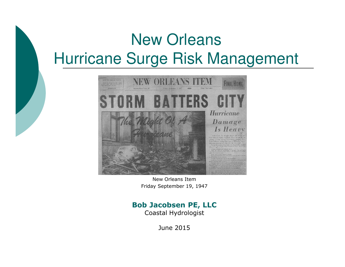# New OrleansHurricane Surge Risk Management



New Orleans ItemFriday September 19, 1947

#### **Bob Jacobsen PE, LLC**

Coastal Hydrologist

June 2015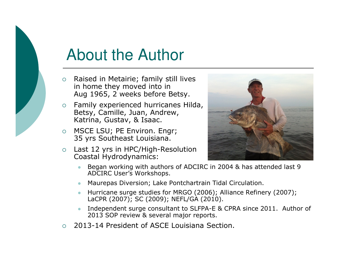## About the Author

- o Raised in Metairie; family still lives in home they moved into in Aug 1965, 2 weeks before Betsy.
- $\Omega$  Family experienced hurricanes Hilda, Betsy, Camille, Juan, Andrew, Katrina, Gustav, & Isaac.
- o MSCE LSU; PE Environ. Engr;<br>25 yrs Cautheast Laujsiana 35 yrs Southeast Louisiana.
- $\circ$  Last 12 yrs in HPC/High-Resolution Coastal Hydrodynamics:



- - Began working with authors of ADCIRC in 2004 & has attended last 9 ADCIRC User's Workshops.
- $\bullet$ Maurepas Diversion; Lake Pontchartrain Tidal Circulation.
- Hurricane surge studies for MRGO (2006); Alliance Refinery (2007); LaCPR (2007); SC (2009); NEFL/GA (2010).
- - Independent surge consultant to SLFPA-E & CPRA since 2011. Author of 2013 SOP review & several major reports.
- 2013-14 President of ASCE Louisiana Section.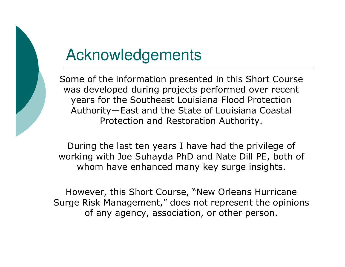

#### Acknowledgements

Some of the information presented in this Short Course was developed during projects performed over recentyears for the Southeast Louisiana Flood Protection Authority—East and the State of Louisiana Coastal Protection and Restoration Authority.

During the last ten years I have had the privilege of working with Joe Suhayda PhD and Nate Dill PE, both of<br>whom have enhanced many key surge insights whom have enhanced many key surge insights.

However, this Short Course, "New Orleans Hurricane Surge Risk Management," does not represent the opinions of any agency, association, or other person.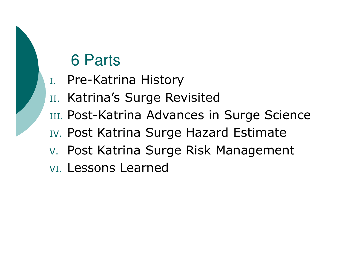#### 6 Parts

- I. Pre-Katrina History
- II. Katrina's Surge Revisited
- III. Post-Katrina Advances in Surge Science
- IV. Post Katrina Surge Hazard Estimate
- V. Post Katrina Surge Risk Management
- VI. Lessons Learned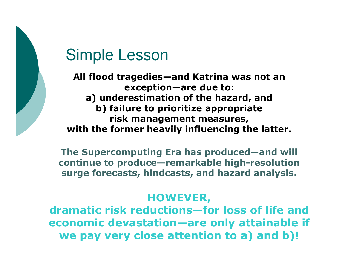### Simple Lesson

**All flood tragedies—and Katrina was not an exception—are due to: a) underestimation of the hazard, and b) failure to prioritize appropriate risk management measures, with the former heavily influencing the latter.**

**The Supercomputing Era has produced—and will continue to produce—remarkable high-resolution surge forecasts, hindcasts, and hazard analysis.**

#### **HOWEVER,**

 **dramatic risk reductions—for loss of life and economic devastation—are only attainable if we pay very close attention to a) and b)!**